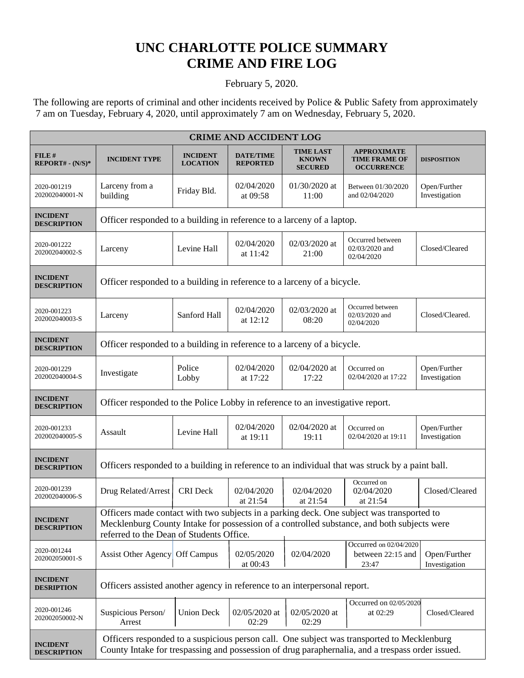## **UNC CHARLOTTE POLICE SUMMARY CRIME AND FIRE LOG**

## February 5, 2020.

 The following are reports of criminal and other incidents received by Police & Public Safety from approximately 7 am on Tuesday, February 4, 2020, until approximately 7 am on Wednesday, February 5, 2020.

| <b>CRIME AND ACCIDENT LOG</b>         |                                                                                                                                                                                                                                     |                                    |                                     |                                                    |                                                                 |                               |  |
|---------------------------------------|-------------------------------------------------------------------------------------------------------------------------------------------------------------------------------------------------------------------------------------|------------------------------------|-------------------------------------|----------------------------------------------------|-----------------------------------------------------------------|-------------------------------|--|
| FILE #<br>$REPORT# - (N/S)*$          | <b>INCIDENT TYPE</b>                                                                                                                                                                                                                | <b>INCIDENT</b><br><b>LOCATION</b> | <b>DATE/TIME</b><br><b>REPORTED</b> | <b>TIME LAST</b><br><b>KNOWN</b><br><b>SECURED</b> | <b>APPROXIMATE</b><br><b>TIME FRAME OF</b><br><b>OCCURRENCE</b> | <b>DISPOSITION</b>            |  |
| 2020-001219<br>202002040001-N         | Larceny from a<br>building                                                                                                                                                                                                          | Friday Bld.                        | 02/04/2020<br>at 09:58              | 01/30/2020 at<br>11:00                             | Between 01/30/2020<br>and 02/04/2020                            | Open/Further<br>Investigation |  |
| <b>INCIDENT</b><br><b>DESCRIPTION</b> | Officer responded to a building in reference to a larceny of a laptop.                                                                                                                                                              |                                    |                                     |                                                    |                                                                 |                               |  |
| 2020-001222<br>202002040002-S         | Larceny                                                                                                                                                                                                                             | Levine Hall                        | 02/04/2020<br>at 11:42              | 02/03/2020 at<br>21:00                             | Occurred between<br>02/03/2020 and<br>02/04/2020                | Closed/Cleared                |  |
| <b>INCIDENT</b><br><b>DESCRIPTION</b> | Officer responded to a building in reference to a larceny of a bicycle.                                                                                                                                                             |                                    |                                     |                                                    |                                                                 |                               |  |
| 2020-001223<br>202002040003-S         | Larceny                                                                                                                                                                                                                             | Sanford Hall                       | 02/04/2020<br>at 12:12              | 02/03/2020 at<br>08:20                             | Occurred between<br>02/03/2020 and<br>02/04/2020                | Closed/Cleared.               |  |
| <b>INCIDENT</b><br><b>DESCRIPTION</b> | Officer responded to a building in reference to a larceny of a bicycle.                                                                                                                                                             |                                    |                                     |                                                    |                                                                 |                               |  |
| 2020-001229<br>202002040004-S         | Investigate                                                                                                                                                                                                                         | Police<br>Lobby                    | 02/04/2020<br>at 17:22              | 02/04/2020 at<br>17:22                             | Occurred on<br>02/04/2020 at 17:22                              | Open/Further<br>Investigation |  |
| <b>INCIDENT</b><br><b>DESCRIPTION</b> | Officer responded to the Police Lobby in reference to an investigative report.                                                                                                                                                      |                                    |                                     |                                                    |                                                                 |                               |  |
| 2020-001233<br>202002040005-S         | Assault                                                                                                                                                                                                                             | Levine Hall                        | 02/04/2020<br>at 19:11              | 02/04/2020 at<br>19:11                             | Occurred on<br>02/04/2020 at 19:11                              | Open/Further<br>Investigation |  |
| <b>INCIDENT</b><br><b>DESCRIPTION</b> | Officers responded to a building in reference to an individual that was struck by a paint ball.                                                                                                                                     |                                    |                                     |                                                    |                                                                 |                               |  |
| 2020-001239<br>202002040006-S         | Drug Related/Arrest                                                                                                                                                                                                                 | <b>CRI</b> Deck                    | 02/04/2020<br>at 21:54              | 02/04/2020<br>at 21:54                             | Occurred on<br>02/04/2020<br>at 21:54                           | Closed/Cleared                |  |
| <b>INCIDENT</b><br><b>DESCRIPTION</b> | Officers made contact with two subjects in a parking deck. One subject was transported to<br>Mecklenburg County Intake for possession of a controlled substance, and both subjects were<br>referred to the Dean of Students Office. |                                    |                                     |                                                    |                                                                 |                               |  |
| 2020-001244<br>202002050001-S         | Assist Other Agency Off Campus                                                                                                                                                                                                      |                                    | 02/05/2020<br>at 00:43              | 02/04/2020                                         | Occurred on 02/04/2020<br>between 22:15 and<br>23:47            | Open/Further<br>Investigation |  |
| <b>INCIDENT</b><br><b>DESRIPTION</b>  | Officers assisted another agency in reference to an interpersonal report.                                                                                                                                                           |                                    |                                     |                                                    |                                                                 |                               |  |
| 2020-001246<br>202002050002-N         | Suspicious Person/<br>Arrest                                                                                                                                                                                                        | <b>Union Deck</b>                  | 02/05/2020 at<br>02:29              | 02/05/2020 at<br>02:29                             | Occurred on 02/05/2020<br>at 02:29                              | Closed/Cleared                |  |
| <b>INCIDENT</b><br><b>DESCRIPTION</b> | Officers responded to a suspicious person call. One subject was transported to Mecklenburg<br>County Intake for trespassing and possession of drug paraphernalia, and a trespass order issued.                                      |                                    |                                     |                                                    |                                                                 |                               |  |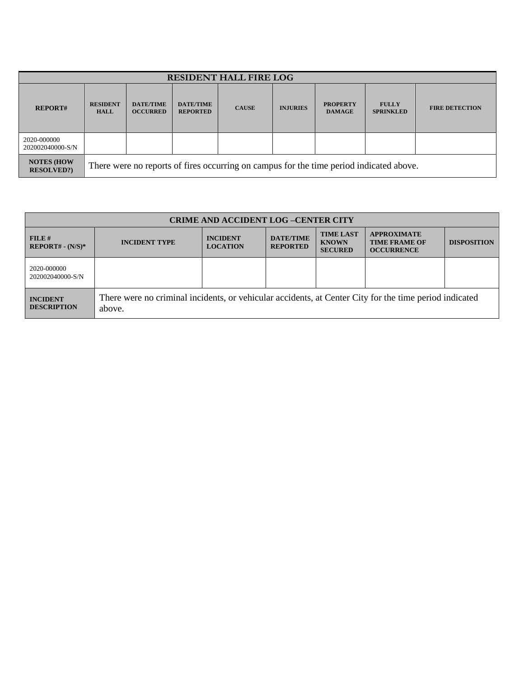| <b>RESIDENT HALL FIRE LOG</b>         |                                                                                         |                                     |                                     |              |                 |                                  |                                  |                       |
|---------------------------------------|-----------------------------------------------------------------------------------------|-------------------------------------|-------------------------------------|--------------|-----------------|----------------------------------|----------------------------------|-----------------------|
| <b>REPORT#</b>                        | <b>RESIDENT</b><br><b>HALL</b>                                                          | <b>DATE/TIME</b><br><b>OCCURRED</b> | <b>DATE/TIME</b><br><b>REPORTED</b> | <b>CAUSE</b> | <b>INJURIES</b> | <b>PROPERTY</b><br><b>DAMAGE</b> | <b>FULLY</b><br><b>SPRINKLED</b> | <b>FIRE DETECTION</b> |
| 2020-000000<br>202002040000-S/N       |                                                                                         |                                     |                                     |              |                 |                                  |                                  |                       |
| <b>NOTES (HOW</b><br><b>RESOLVED?</b> | There were no reports of fires occurring on campus for the time period indicated above. |                                     |                                     |              |                 |                                  |                                  |                       |

| <b>CRIME AND ACCIDENT LOG-CENTER CITY</b> |                                                                                                                  |                                    |                                     |                                                    |                                                                 |                    |  |
|-------------------------------------------|------------------------------------------------------------------------------------------------------------------|------------------------------------|-------------------------------------|----------------------------------------------------|-----------------------------------------------------------------|--------------------|--|
| $FILE$ #<br>$REPORT# - (N/S)*$            | <b>INCIDENT TYPE</b>                                                                                             | <b>INCIDENT</b><br><b>LOCATION</b> | <b>DATE/TIME</b><br><b>REPORTED</b> | <b>TIME LAST</b><br><b>KNOWN</b><br><b>SECURED</b> | <b>APPROXIMATE</b><br><b>TIME FRAME OF</b><br><b>OCCURRENCE</b> | <b>DISPOSITION</b> |  |
| 2020-000000<br>202002040000-S/N           |                                                                                                                  |                                    |                                     |                                                    |                                                                 |                    |  |
| <b>INCIDENT</b><br><b>DESCRIPTION</b>     | There were no criminal incidents, or vehicular accidents, at Center City for the time period indicated<br>above. |                                    |                                     |                                                    |                                                                 |                    |  |